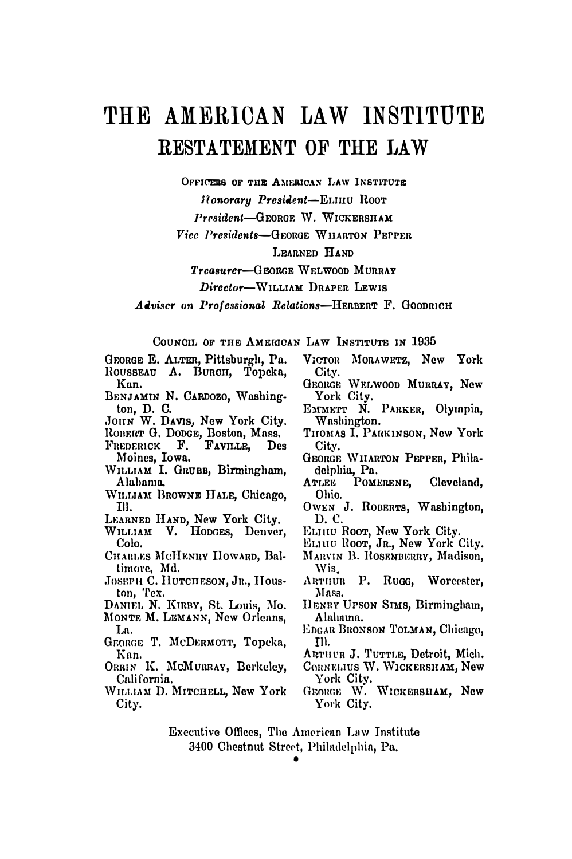## THE AMERICAN LAW INSTITUTE RESTATEMENT OF THE LAW

OFFICERS OF THE AMERICAN LAW INSTITUTE

*itonorary President*-ELIHU ROOT

President-GEORGE W. WICKERSHAM

Vice Presidents-GEORGE WHARTON PEPPER

Treasurer-GEORGE WELWOOD MURRAY

Director-WILLIAM DRAPER LEWIS

Adviser on Professional Relations-HERBERT F. GOODRICH

COUNCIL OF THE AMERICAN LAW INSTITUTE IN 1935

- GEORGE E. ALTER, Pittsburgh, Pa. ROUSSEAU A. BURCH, Topeka, Kan.
- BENJAMIN N. CARDOZO, Washington, D. C.
- JOHN W. DAVIS, New York City.
- ROBERT G. DODGE, Boston, Mass.
- FREDERICK F. FAVILLE, Des Moines, Iowa.
- WILLIAM I. GRUBB, Birmingham, Alabama.
- WILLIAM BROWNE HALE, Chicago, III.
- LEARNED HAND, New York City.<br>WILLIAM V. HODGES, Denver,
- Colo.
- CHARLES MCHENRY HOWARD, Baltimore, Md.
- JOSEPH C. HUTCHESON, JR., Houston, Tex.
- DANIEL N. KIRBY, St. Louis, Mo.
- MONTE M. LEMANN, New Orleans, La.
- GEORGE T. MCDERMOTT, Topeka, Kan.
- ORRIN K. MCMURRAY, Berkeley, California.
- WILLIAM D. MITCHELL, New York City.
- VICTOR MORAWETZ, New York City.
- GEORGE WELWOOD MURRAY, New York City.<br>EMMETT N. PARKER, Olympia,
- Washington.
- THOMAS I. PARKINSON, New York City.
- GEORGE WILARTON PEPPER, Philadelphia, Pa.
- ATLEE POMERENE, Cleveland. Ohio.
- OWEN J. ROBERTS, Washington, D. C.
- ELIIIU ROOT, New York City.
- ELIUU ROOT, JR., New York City.
- MARVIN B. ROSENBERRY, Madison, Wis.
- ARTHUR P. Rugg, Worcester, Mass.
- HENRY UPSON SIMS, Birmingham, Alahama.
- EDGAR BRONSON TOLMAN, Chicago,  $II<sup>1</sup>$ .
- ARTHUR J. TUTTLE, Detroit, Mich.
- CORNELIUS W. WICKERSHAM, New York City.
- GEORGE W. WICKERSHAM, New York City.
- Executive Offices, The American Law Institute 3400 Chestnut Street, Philadelphia, Pa.

LEARNED HAND